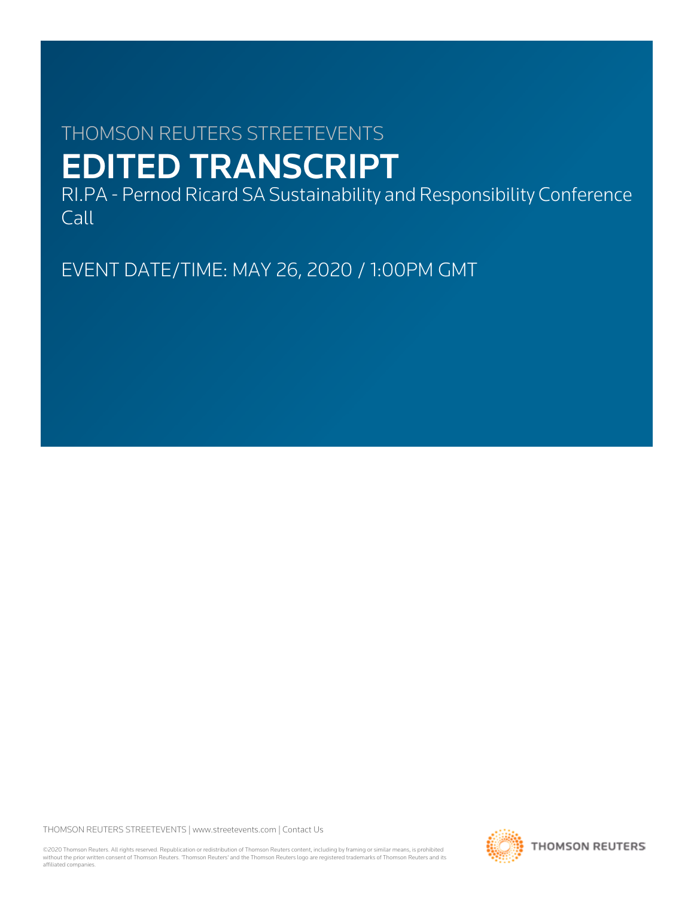# THOMSON REUTERS STREETEVENTS EDITED TRANSCRIPT

RI.PA - Pernod Ricard SA Sustainability and Responsibility Conference Call

EVENT DATE/TIME: MAY 26, 2020 / 1:00PM GMT

THOMSON REUTERS STREETEVENTS | [www.streetevents.com](http://www.streetevents.com) | [Contact Us](http://www010.streetevents.com/contact.asp)

©2020 Thomson Reuters. All rights reserved. Republication or redistribution of Thomson Reuters content, including by framing or similar means, is prohibited without the prior written consent of Thomson Reuters. 'Thomson Reuters' and the Thomson Reuters logo are registered trademarks of Thomson Reuters and its affiliated companies.

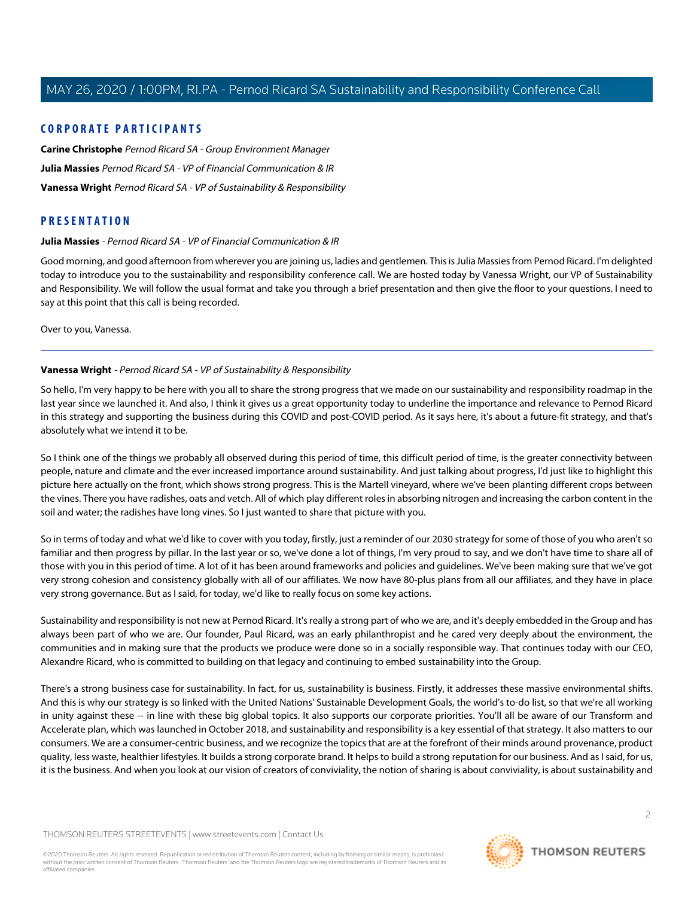# **CORPORATE PARTICIPANTS**

**[Carine Christophe](#page-8-0)** Pernod Ricard SA - Group Environment Manager **[Julia Massies](#page-1-0)** Pernod Ricard SA - VP of Financial Communication & IR **[Vanessa Wright](#page-1-1)** Pernod Ricard SA - VP of Sustainability & Responsibility

# <span id="page-1-0"></span>**PRESENTATION**

#### **Julia Massies** - Pernod Ricard SA - VP of Financial Communication & IR

Good morning, and good afternoon from wherever you are joining us, ladies and gentlemen. This is Julia Massies from Pernod Ricard. I'm delighted today to introduce you to the sustainability and responsibility conference call. We are hosted today by Vanessa Wright, our VP of Sustainability and Responsibility. We will follow the usual format and take you through a brief presentation and then give the floor to your questions. I need to say at this point that this call is being recorded.

<span id="page-1-1"></span>Over to you, Vanessa.

## **Vanessa Wright** - Pernod Ricard SA - VP of Sustainability & Responsibility

So hello, I'm very happy to be here with you all to share the strong progress that we made on our sustainability and responsibility roadmap in the last year since we launched it. And also, I think it gives us a great opportunity today to underline the importance and relevance to Pernod Ricard in this strategy and supporting the business during this COVID and post-COVID period. As it says here, it's about a future-fit strategy, and that's absolutely what we intend it to be.

So I think one of the things we probably all observed during this period of time, this difficult period of time, is the greater connectivity between people, nature and climate and the ever increased importance around sustainability. And just talking about progress, I'd just like to highlight this picture here actually on the front, which shows strong progress. This is the Martell vineyard, where we've been planting different crops between the vines. There you have radishes, oats and vetch. All of which play different roles in absorbing nitrogen and increasing the carbon content in the soil and water; the radishes have long vines. So I just wanted to share that picture with you.

So in terms of today and what we'd like to cover with you today, firstly, just a reminder of our 2030 strategy for some of those of you who aren't so familiar and then progress by pillar. In the last year or so, we've done a lot of things, I'm very proud to say, and we don't have time to share all of those with you in this period of time. A lot of it has been around frameworks and policies and guidelines. We've been making sure that we've got very strong cohesion and consistency globally with all of our affiliates. We now have 80-plus plans from all our affiliates, and they have in place very strong governance. But as I said, for today, we'd like to really focus on some key actions.

Sustainability and responsibility is not new at Pernod Ricard. It's really a strong part of who we are, and it's deeply embedded in the Group and has always been part of who we are. Our founder, Paul Ricard, was an early philanthropist and he cared very deeply about the environment, the communities and in making sure that the products we produce were done so in a socially responsible way. That continues today with our CEO, Alexandre Ricard, who is committed to building on that legacy and continuing to embed sustainability into the Group.

There's a strong business case for sustainability. In fact, for us, sustainability is business. Firstly, it addresses these massive environmental shifts. And this is why our strategy is so linked with the United Nations' Sustainable Development Goals, the world's to-do list, so that we're all working in unity against these -- in line with these big global topics. It also supports our corporate priorities. You'll all be aware of our Transform and Accelerate plan, which was launched in October 2018, and sustainability and responsibility is a key essential of that strategy. It also matters to our consumers. We are a consumer-centric business, and we recognize the topics that are at the forefront of their minds around provenance, product quality, less waste, healthier lifestyles. It builds a strong corporate brand. It helps to build a strong reputation for our business. And as I said, for us, it is the business. And when you look at our vision of creators of conviviality, the notion of sharing is about conviviality, is about sustainability and

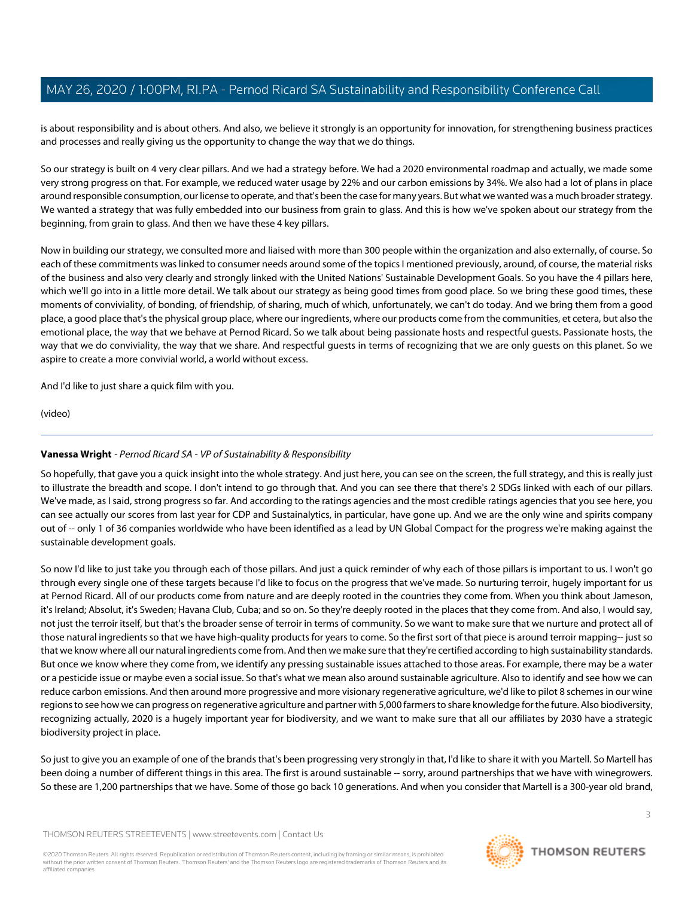is about responsibility and is about others. And also, we believe it strongly is an opportunity for innovation, for strengthening business practices and processes and really giving us the opportunity to change the way that we do things.

So our strategy is built on 4 very clear pillars. And we had a strategy before. We had a 2020 environmental roadmap and actually, we made some very strong progress on that. For example, we reduced water usage by 22% and our carbon emissions by 34%. We also had a lot of plans in place around responsible consumption, our license to operate, and that's been the case for many years. But what we wanted was a much broader strategy. We wanted a strategy that was fully embedded into our business from grain to glass. And this is how we've spoken about our strategy from the beginning, from grain to glass. And then we have these 4 key pillars.

Now in building our strategy, we consulted more and liaised with more than 300 people within the organization and also externally, of course. So each of these commitments was linked to consumer needs around some of the topics I mentioned previously, around, of course, the material risks of the business and also very clearly and strongly linked with the United Nations' Sustainable Development Goals. So you have the 4 pillars here, which we'll go into in a little more detail. We talk about our strategy as being good times from good place. So we bring these good times, these moments of conviviality, of bonding, of friendship, of sharing, much of which, unfortunately, we can't do today. And we bring them from a good place, a good place that's the physical group place, where our ingredients, where our products come from the communities, et cetera, but also the emotional place, the way that we behave at Pernod Ricard. So we talk about being passionate hosts and respectful guests. Passionate hosts, the way that we do conviviality, the way that we share. And respectful guests in terms of recognizing that we are only guests on this planet. So we aspire to create a more convivial world, a world without excess.

And I'd like to just share a quick film with you.

(video)

# **Vanessa Wright** - Pernod Ricard SA - VP of Sustainability & Responsibility

So hopefully, that gave you a quick insight into the whole strategy. And just here, you can see on the screen, the full strategy, and this is really just to illustrate the breadth and scope. I don't intend to go through that. And you can see there that there's 2 SDGs linked with each of our pillars. We've made, as I said, strong progress so far. And according to the ratings agencies and the most credible ratings agencies that you see here, you can see actually our scores from last year for CDP and Sustainalytics, in particular, have gone up. And we are the only wine and spirits company out of -- only 1 of 36 companies worldwide who have been identified as a lead by UN Global Compact for the progress we're making against the sustainable development goals.

So now I'd like to just take you through each of those pillars. And just a quick reminder of why each of those pillars is important to us. I won't go through every single one of these targets because I'd like to focus on the progress that we've made. So nurturing terroir, hugely important for us at Pernod Ricard. All of our products come from nature and are deeply rooted in the countries they come from. When you think about Jameson, it's Ireland; Absolut, it's Sweden; Havana Club, Cuba; and so on. So they're deeply rooted in the places that they come from. And also, I would say, not just the terroir itself, but that's the broader sense of terroir in terms of community. So we want to make sure that we nurture and protect all of those natural ingredients so that we have high-quality products for years to come. So the first sort of that piece is around terroir mapping-- just so that we know where all our natural ingredients come from. And then we make sure that they're certified according to high sustainability standards. But once we know where they come from, we identify any pressing sustainable issues attached to those areas. For example, there may be a water or a pesticide issue or maybe even a social issue. So that's what we mean also around sustainable agriculture. Also to identify and see how we can reduce carbon emissions. And then around more progressive and more visionary regenerative agriculture, we'd like to pilot 8 schemes in our wine regions to see how we can progress on regenerative agriculture and partner with 5,000 farmers to share knowledge for the future. Also biodiversity, recognizing actually, 2020 is a hugely important year for biodiversity, and we want to make sure that all our affiliates by 2030 have a strategic biodiversity project in place.

So just to give you an example of one of the brands that's been progressing very strongly in that, I'd like to share it with you Martell. So Martell has been doing a number of different things in this area. The first is around sustainable -- sorry, around partnerships that we have with winegrowers. So these are 1,200 partnerships that we have. Some of those go back 10 generations. And when you consider that Martell is a 300-year old brand,

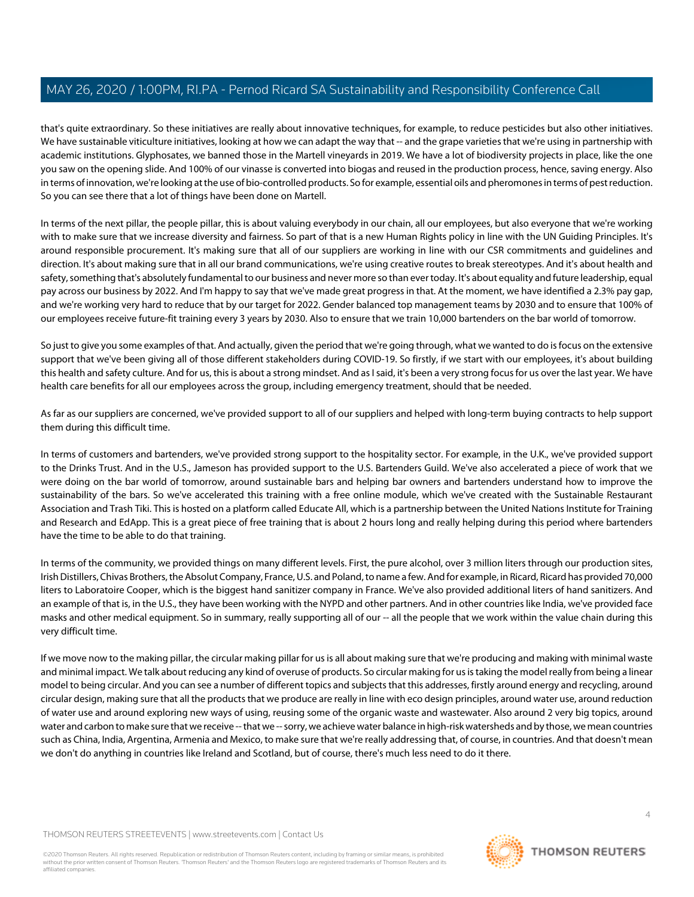that's quite extraordinary. So these initiatives are really about innovative techniques, for example, to reduce pesticides but also other initiatives. We have sustainable viticulture initiatives, looking at how we can adapt the way that -- and the grape varieties that we're using in partnership with academic institutions. Glyphosates, we banned those in the Martell vineyards in 2019. We have a lot of biodiversity projects in place, like the one you saw on the opening slide. And 100% of our vinasse is converted into biogas and reused in the production process, hence, saving energy. Also in terms of innovation, we're looking at the use of bio-controlled products. So for example, essential oils and pheromones in terms of pest reduction. So you can see there that a lot of things have been done on Martell.

In terms of the next pillar, the people pillar, this is about valuing everybody in our chain, all our employees, but also everyone that we're working with to make sure that we increase diversity and fairness. So part of that is a new Human Rights policy in line with the UN Guiding Principles. It's around responsible procurement. It's making sure that all of our suppliers are working in line with our CSR commitments and guidelines and direction. It's about making sure that in all our brand communications, we're using creative routes to break stereotypes. And it's about health and safety, something that's absolutely fundamental to our business and never more so than ever today. It's about equality and future leadership, equal pay across our business by 2022. And I'm happy to say that we've made great progress in that. At the moment, we have identified a 2.3% pay gap, and we're working very hard to reduce that by our target for 2022. Gender balanced top management teams by 2030 and to ensure that 100% of our employees receive future-fit training every 3 years by 2030. Also to ensure that we train 10,000 bartenders on the bar world of tomorrow.

So just to give you some examples of that. And actually, given the period that we're going through, what we wanted to do is focus on the extensive support that we've been giving all of those different stakeholders during COVID-19. So firstly, if we start with our employees, it's about building this health and safety culture. And for us, this is about a strong mindset. And as I said, it's been a very strong focus for us over the last year. We have health care benefits for all our employees across the group, including emergency treatment, should that be needed.

As far as our suppliers are concerned, we've provided support to all of our suppliers and helped with long-term buying contracts to help support them during this difficult time.

In terms of customers and bartenders, we've provided strong support to the hospitality sector. For example, in the U.K., we've provided support to the Drinks Trust. And in the U.S., Jameson has provided support to the U.S. Bartenders Guild. We've also accelerated a piece of work that we were doing on the bar world of tomorrow, around sustainable bars and helping bar owners and bartenders understand how to improve the sustainability of the bars. So we've accelerated this training with a free online module, which we've created with the Sustainable Restaurant Association and Trash Tiki. This is hosted on a platform called Educate All, which is a partnership between the United Nations Institute for Training and Research and EdApp. This is a great piece of free training that is about 2 hours long and really helping during this period where bartenders have the time to be able to do that training.

In terms of the community, we provided things on many different levels. First, the pure alcohol, over 3 million liters through our production sites, Irish Distillers, Chivas Brothers, the Absolut Company, France, U.S. and Poland, to name a few. And for example, in Ricard, Ricard has provided 70,000 liters to Laboratoire Cooper, which is the biggest hand sanitizer company in France. We've also provided additional liters of hand sanitizers. And an example of that is, in the U.S., they have been working with the NYPD and other partners. And in other countries like India, we've provided face masks and other medical equipment. So in summary, really supporting all of our -- all the people that we work within the value chain during this very difficult time.

If we move now to the making pillar, the circular making pillar for us is all about making sure that we're producing and making with minimal waste and minimal impact. We talk about reducing any kind of overuse of products. So circular making for us is taking the model really from being a linear model to being circular. And you can see a number of different topics and subjects that this addresses, firstly around energy and recycling, around circular design, making sure that all the products that we produce are really in line with eco design principles, around water use, around reduction of water use and around exploring new ways of using, reusing some of the organic waste and wastewater. Also around 2 very big topics, around water and carbon to make sure that we receive -- that we -- sorry, we achieve water balance in high-risk watersheds and by those, we mean countries such as China, India, Argentina, Armenia and Mexico, to make sure that we're really addressing that, of course, in countries. And that doesn't mean we don't do anything in countries like Ireland and Scotland, but of course, there's much less need to do it there.

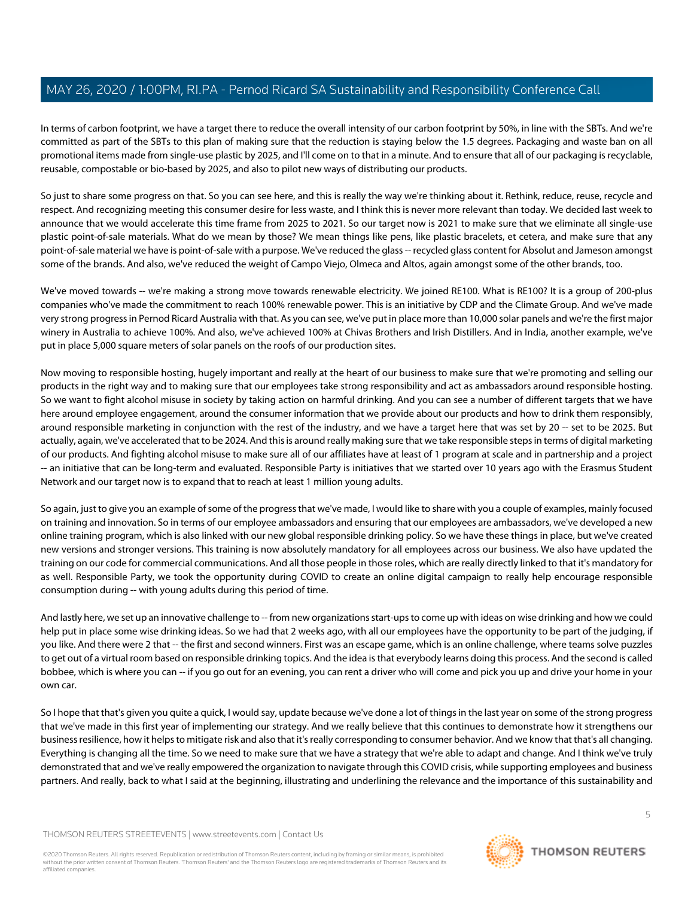In terms of carbon footprint, we have a target there to reduce the overall intensity of our carbon footprint by 50%, in line with the SBTs. And we're committed as part of the SBTs to this plan of making sure that the reduction is staying below the 1.5 degrees. Packaging and waste ban on all promotional items made from single-use plastic by 2025, and I'll come on to that in a minute. And to ensure that all of our packaging is recyclable, reusable, compostable or bio-based by 2025, and also to pilot new ways of distributing our products.

So just to share some progress on that. So you can see here, and this is really the way we're thinking about it. Rethink, reduce, reuse, recycle and respect. And recognizing meeting this consumer desire for less waste, and I think this is never more relevant than today. We decided last week to announce that we would accelerate this time frame from 2025 to 2021. So our target now is 2021 to make sure that we eliminate all single-use plastic point-of-sale materials. What do we mean by those? We mean things like pens, like plastic bracelets, et cetera, and make sure that any point-of-sale material we have is point-of-sale with a purpose. We've reduced the glass -- recycled glass content for Absolut and Jameson amongst some of the brands. And also, we've reduced the weight of Campo Viejo, Olmeca and Altos, again amongst some of the other brands, too.

We've moved towards -- we're making a strong move towards renewable electricity. We joined RE100. What is RE100? It is a group of 200-plus companies who've made the commitment to reach 100% renewable power. This is an initiative by CDP and the Climate Group. And we've made very strong progress in Pernod Ricard Australia with that. As you can see, we've put in place more than 10,000 solar panels and we're the first major winery in Australia to achieve 100%. And also, we've achieved 100% at Chivas Brothers and Irish Distillers. And in India, another example, we've put in place 5,000 square meters of solar panels on the roofs of our production sites.

Now moving to responsible hosting, hugely important and really at the heart of our business to make sure that we're promoting and selling our products in the right way and to making sure that our employees take strong responsibility and act as ambassadors around responsible hosting. So we want to fight alcohol misuse in society by taking action on harmful drinking. And you can see a number of different targets that we have here around employee engagement, around the consumer information that we provide about our products and how to drink them responsibly, around responsible marketing in conjunction with the rest of the industry, and we have a target here that was set by 20 -- set to be 2025. But actually, again, we've accelerated that to be 2024. And this is around really making sure that we take responsible steps in terms of digital marketing of our products. And fighting alcohol misuse to make sure all of our affiliates have at least of 1 program at scale and in partnership and a project -- an initiative that can be long-term and evaluated. Responsible Party is initiatives that we started over 10 years ago with the Erasmus Student Network and our target now is to expand that to reach at least 1 million young adults.

So again, just to give you an example of some of the progress that we've made, I would like to share with you a couple of examples, mainly focused on training and innovation. So in terms of our employee ambassadors and ensuring that our employees are ambassadors, we've developed a new online training program, which is also linked with our new global responsible drinking policy. So we have these things in place, but we've created new versions and stronger versions. This training is now absolutely mandatory for all employees across our business. We also have updated the training on our code for commercial communications. And all those people in those roles, which are really directly linked to that it's mandatory for as well. Responsible Party, we took the opportunity during COVID to create an online digital campaign to really help encourage responsible consumption during -- with young adults during this period of time.

And lastly here, we set up an innovative challenge to -- from new organizations start-ups to come up with ideas on wise drinking and how we could help put in place some wise drinking ideas. So we had that 2 weeks ago, with all our employees have the opportunity to be part of the judging, if you like. And there were 2 that -- the first and second winners. First was an escape game, which is an online challenge, where teams solve puzzles to get out of a virtual room based on responsible drinking topics. And the idea is that everybody learns doing this process. And the second is called bobbee, which is where you can -- if you go out for an evening, you can rent a driver who will come and pick you up and drive your home in your own car.

So I hope that that's given you quite a quick, I would say, update because we've done a lot of things in the last year on some of the strong progress that we've made in this first year of implementing our strategy. And we really believe that this continues to demonstrate how it strengthens our business resilience, how it helps to mitigate risk and also that it's really corresponding to consumer behavior. And we know that that's all changing. Everything is changing all the time. So we need to make sure that we have a strategy that we're able to adapt and change. And I think we've truly demonstrated that and we've really empowered the organization to navigate through this COVID crisis, while supporting employees and business partners. And really, back to what I said at the beginning, illustrating and underlining the relevance and the importance of this sustainability and

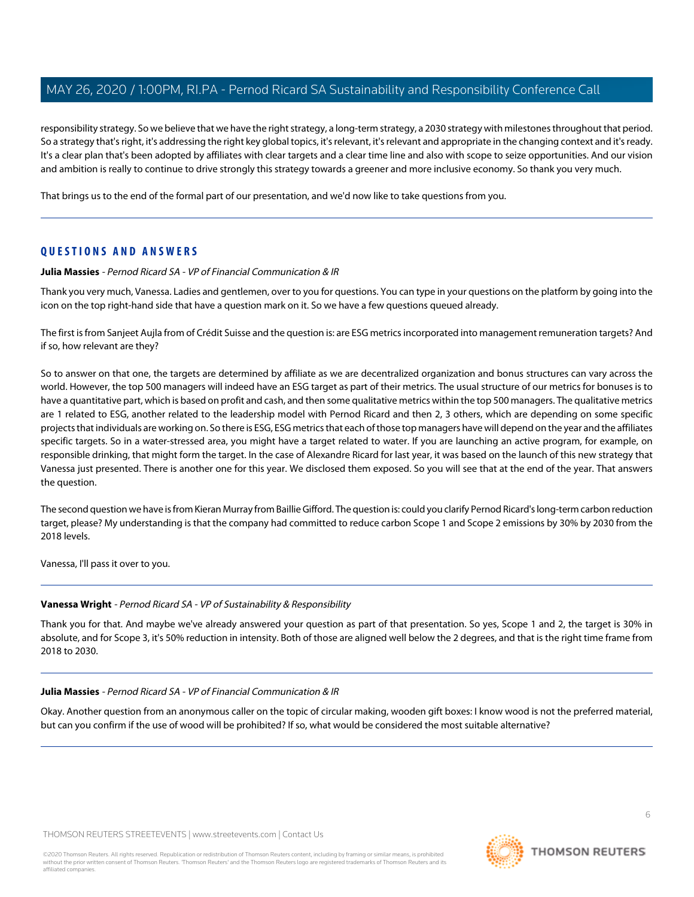responsibility strategy. So we believe that we have the right strategy, a long-term strategy, a 2030 strategy with milestones throughout that period. So a strategy that's right, it's addressing the right key global topics, it's relevant, it's relevant and appropriate in the changing context and it's ready. It's a clear plan that's been adopted by affiliates with clear targets and a clear time line and also with scope to seize opportunities. And our vision and ambition is really to continue to drive strongly this strategy towards a greener and more inclusive economy. So thank you very much.

That brings us to the end of the formal part of our presentation, and we'd now like to take questions from you.

# **QUESTIONS AND ANSWERS**

## **Julia Massies** - Pernod Ricard SA - VP of Financial Communication & IR

Thank you very much, Vanessa. Ladies and gentlemen, over to you for questions. You can type in your questions on the platform by going into the icon on the top right-hand side that have a question mark on it. So we have a few questions queued already.

The first is from Sanjeet Aujla from of Crédit Suisse and the question is: are ESG metrics incorporated into management remuneration targets? And if so, how relevant are they?

So to answer on that one, the targets are determined by affiliate as we are decentralized organization and bonus structures can vary across the world. However, the top 500 managers will indeed have an ESG target as part of their metrics. The usual structure of our metrics for bonuses is to have a quantitative part, which is based on profit and cash, and then some qualitative metrics within the top 500 managers. The qualitative metrics are 1 related to ESG, another related to the leadership model with Pernod Ricard and then 2, 3 others, which are depending on some specific projects that individuals are working on. So there is ESG, ESG metrics that each of those top managers have will depend on the year and the affiliates specific targets. So in a water-stressed area, you might have a target related to water. If you are launching an active program, for example, on responsible drinking, that might form the target. In the case of Alexandre Ricard for last year, it was based on the launch of this new strategy that Vanessa just presented. There is another one for this year. We disclosed them exposed. So you will see that at the end of the year. That answers the question.

The second question we have is from Kieran Murray from Baillie Gifford. The question is: could you clarify Pernod Ricard's long-term carbon reduction target, please? My understanding is that the company had committed to reduce carbon Scope 1 and Scope 2 emissions by 30% by 2030 from the 2018 levels.

Vanessa, I'll pass it over to you.

# **Vanessa Wright** - Pernod Ricard SA - VP of Sustainability & Responsibility

Thank you for that. And maybe we've already answered your question as part of that presentation. So yes, Scope 1 and 2, the target is 30% in absolute, and for Scope 3, it's 50% reduction in intensity. Both of those are aligned well below the 2 degrees, and that is the right time frame from 2018 to 2030.

#### **Julia Massies** - Pernod Ricard SA - VP of Financial Communication & IR

Okay. Another question from an anonymous caller on the topic of circular making, wooden gift boxes: I know wood is not the preferred material, but can you confirm if the use of wood will be prohibited? If so, what would be considered the most suitable alternative?

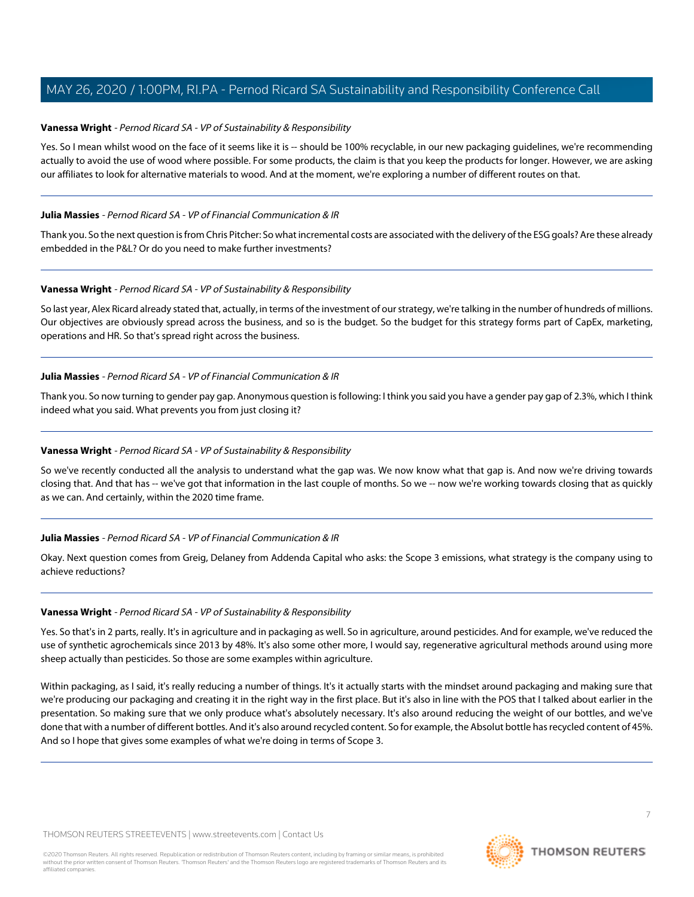## **Vanessa Wright** - Pernod Ricard SA - VP of Sustainability & Responsibility

Yes. So I mean whilst wood on the face of it seems like it is -- should be 100% recyclable, in our new packaging guidelines, we're recommending actually to avoid the use of wood where possible. For some products, the claim is that you keep the products for longer. However, we are asking our affiliates to look for alternative materials to wood. And at the moment, we're exploring a number of different routes on that.

#### **Julia Massies** - Pernod Ricard SA - VP of Financial Communication & IR

Thank you. So the next question is from Chris Pitcher: So what incremental costs are associated with the delivery of the ESG goals? Are these already embedded in the P&L? Or do you need to make further investments?

## **Vanessa Wright** - Pernod Ricard SA - VP of Sustainability & Responsibility

So last year, Alex Ricard already stated that, actually, in terms of the investment of our strategy, we're talking in the number of hundreds of millions. Our objectives are obviously spread across the business, and so is the budget. So the budget for this strategy forms part of CapEx, marketing, operations and HR. So that's spread right across the business.

#### **Julia Massies** - Pernod Ricard SA - VP of Financial Communication & IR

Thank you. So now turning to gender pay gap. Anonymous question is following: I think you said you have a gender pay gap of 2.3%, which I think indeed what you said. What prevents you from just closing it?

# **Vanessa Wright** - Pernod Ricard SA - VP of Sustainability & Responsibility

So we've recently conducted all the analysis to understand what the gap was. We now know what that gap is. And now we're driving towards closing that. And that has -- we've got that information in the last couple of months. So we -- now we're working towards closing that as quickly as we can. And certainly, within the 2020 time frame.

# **Julia Massies** - Pernod Ricard SA - VP of Financial Communication & IR

Okay. Next question comes from Greig, Delaney from Addenda Capital who asks: the Scope 3 emissions, what strategy is the company using to achieve reductions?

#### **Vanessa Wright** - Pernod Ricard SA - VP of Sustainability & Responsibility

Yes. So that's in 2 parts, really. It's in agriculture and in packaging as well. So in agriculture, around pesticides. And for example, we've reduced the use of synthetic agrochemicals since 2013 by 48%. It's also some other more, I would say, regenerative agricultural methods around using more sheep actually than pesticides. So those are some examples within agriculture.

Within packaging, as I said, it's really reducing a number of things. It's it actually starts with the mindset around packaging and making sure that we're producing our packaging and creating it in the right way in the first place. But it's also in line with the POS that I talked about earlier in the presentation. So making sure that we only produce what's absolutely necessary. It's also around reducing the weight of our bottles, and we've done that with a number of different bottles. And it's also around recycled content. So for example, the Absolut bottle has recycled content of 45%. And so I hope that gives some examples of what we're doing in terms of Scope 3.

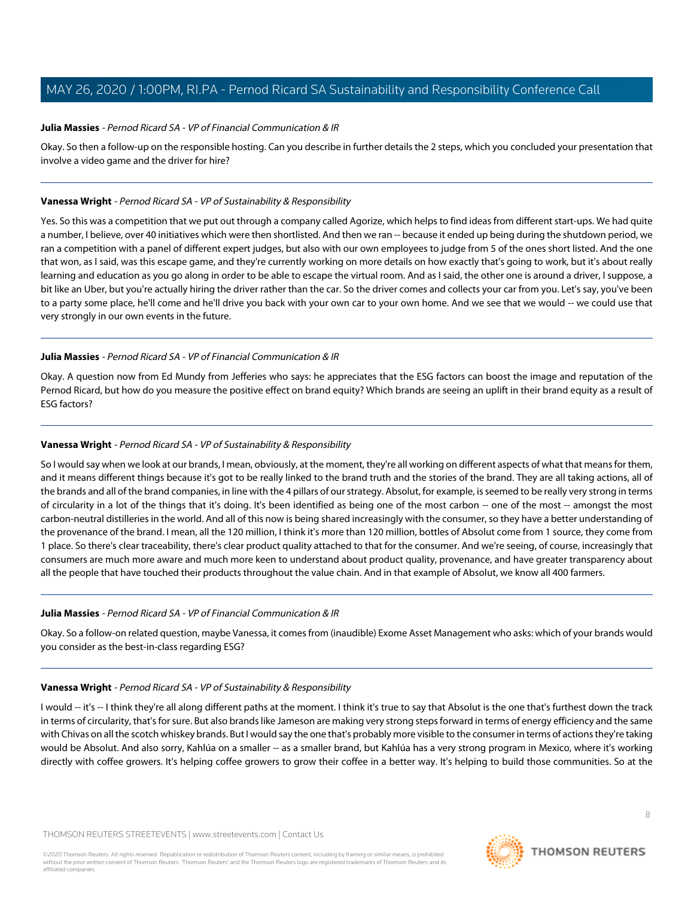#### **Julia Massies** - Pernod Ricard SA - VP of Financial Communication & IR

Okay. So then a follow-up on the responsible hosting. Can you describe in further details the 2 steps, which you concluded your presentation that involve a video game and the driver for hire?

#### **Vanessa Wright** - Pernod Ricard SA - VP of Sustainability & Responsibility

Yes. So this was a competition that we put out through a company called Agorize, which helps to find ideas from different start-ups. We had quite a number, I believe, over 40 initiatives which were then shortlisted. And then we ran -- because it ended up being during the shutdown period, we ran a competition with a panel of different expert judges, but also with our own employees to judge from 5 of the ones short listed. And the one that won, as I said, was this escape game, and they're currently working on more details on how exactly that's going to work, but it's about really learning and education as you go along in order to be able to escape the virtual room. And as I said, the other one is around a driver, I suppose, a bit like an Uber, but you're actually hiring the driver rather than the car. So the driver comes and collects your car from you. Let's say, you've been to a party some place, he'll come and he'll drive you back with your own car to your own home. And we see that we would -- we could use that very strongly in our own events in the future.

## **Julia Massies** - Pernod Ricard SA - VP of Financial Communication & IR

Okay. A question now from Ed Mundy from Jefferies who says: he appreciates that the ESG factors can boost the image and reputation of the Pernod Ricard, but how do you measure the positive effect on brand equity? Which brands are seeing an uplift in their brand equity as a result of ESG factors?

# **Vanessa Wright** - Pernod Ricard SA - VP of Sustainability & Responsibility

So I would say when we look at our brands, I mean, obviously, at the moment, they're all working on different aspects of what that means for them, and it means different things because it's got to be really linked to the brand truth and the stories of the brand. They are all taking actions, all of the brands and all of the brand companies, in line with the 4 pillars of our strategy. Absolut, for example, is seemed to be really very strong in terms of circularity in a lot of the things that it's doing. It's been identified as being one of the most carbon -- one of the most -- amongst the most carbon-neutral distilleries in the world. And all of this now is being shared increasingly with the consumer, so they have a better understanding of the provenance of the brand. I mean, all the 120 million, I think it's more than 120 million, bottles of Absolut come from 1 source, they come from 1 place. So there's clear traceability, there's clear product quality attached to that for the consumer. And we're seeing, of course, increasingly that consumers are much more aware and much more keen to understand about product quality, provenance, and have greater transparency about all the people that have touched their products throughout the value chain. And in that example of Absolut, we know all 400 farmers.

#### **Julia Massies** - Pernod Ricard SA - VP of Financial Communication & IR

Okay. So a follow-on related question, maybe Vanessa, it comes from (inaudible) Exome Asset Management who asks: which of your brands would you consider as the best-in-class regarding ESG?

#### **Vanessa Wright** - Pernod Ricard SA - VP of Sustainability & Responsibility

I would -- it's -- I think they're all along different paths at the moment. I think it's true to say that Absolut is the one that's furthest down the track in terms of circularity, that's for sure. But also brands like Jameson are making very strong steps forward in terms of energy efficiency and the same with Chivas on all the scotch whiskey brands. But I would say the one that's probably more visible to the consumer in terms of actions they're taking would be Absolut. And also sorry, Kahlúa on a smaller -- as a smaller brand, but Kahlúa has a very strong program in Mexico, where it's working directly with coffee growers. It's helping coffee growers to grow their coffee in a better way. It's helping to build those communities. So at the

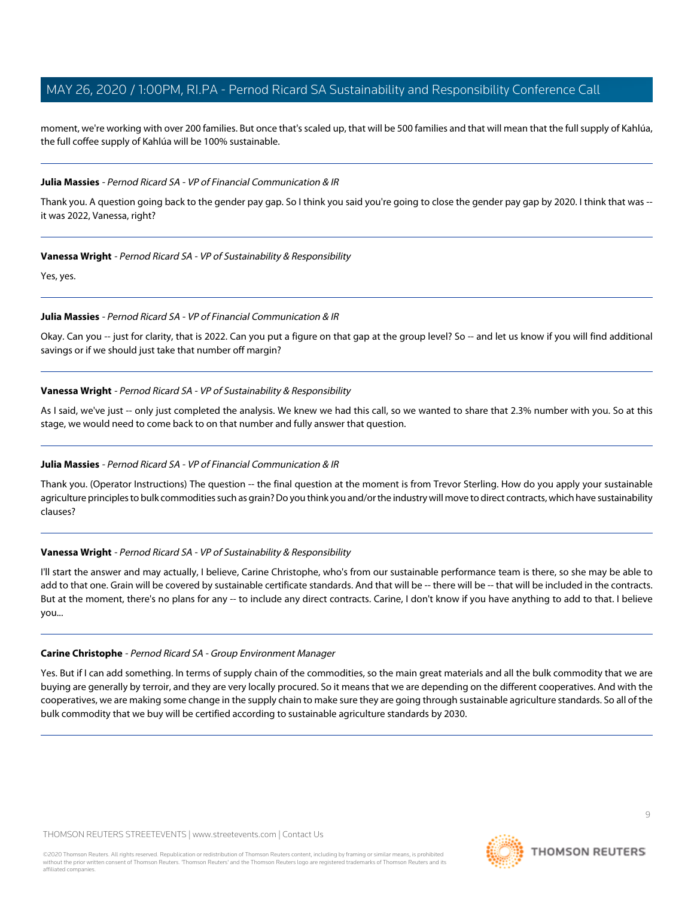moment, we're working with over 200 families. But once that's scaled up, that will be 500 families and that will mean that the full supply of Kahlúa, the full coffee supply of Kahlúa will be 100% sustainable.

#### **Julia Massies** - Pernod Ricard SA - VP of Financial Communication & IR

Thank you. A question going back to the gender pay gap. So I think you said you're going to close the gender pay gap by 2020. I think that was - it was 2022, Vanessa, right?

## **Vanessa Wright** - Pernod Ricard SA - VP of Sustainability & Responsibility

Yes, yes.

## **Julia Massies** - Pernod Ricard SA - VP of Financial Communication & IR

Okay. Can you -- just for clarity, that is 2022. Can you put a figure on that gap at the group level? So -- and let us know if you will find additional savings or if we should just take that number off margin?

## **Vanessa Wright** - Pernod Ricard SA - VP of Sustainability & Responsibility

As I said, we've just -- only just completed the analysis. We knew we had this call, so we wanted to share that 2.3% number with you. So at this stage, we would need to come back to on that number and fully answer that question.

# **Julia Massies** - Pernod Ricard SA - VP of Financial Communication & IR

Thank you. (Operator Instructions) The question -- the final question at the moment is from Trevor Sterling. How do you apply your sustainable agriculture principles to bulk commodities such as grain? Do you think you and/or the industry will move to direct contracts, which have sustainability clauses?

# **Vanessa Wright** - Pernod Ricard SA - VP of Sustainability & Responsibility

<span id="page-8-0"></span>I'll start the answer and may actually, I believe, Carine Christophe, who's from our sustainable performance team is there, so she may be able to add to that one. Grain will be covered by sustainable certificate standards. And that will be -- there will be -- that will be included in the contracts. But at the moment, there's no plans for any -- to include any direct contracts. Carine, I don't know if you have anything to add to that. I believe you...

#### **Carine Christophe** - Pernod Ricard SA - Group Environment Manager

Yes. But if I can add something. In terms of supply chain of the commodities, so the main great materials and all the bulk commodity that we are buying are generally by terroir, and they are very locally procured. So it means that we are depending on the different cooperatives. And with the cooperatives, we are making some change in the supply chain to make sure they are going through sustainable agriculture standards. So all of the bulk commodity that we buy will be certified according to sustainable agriculture standards by 2030.

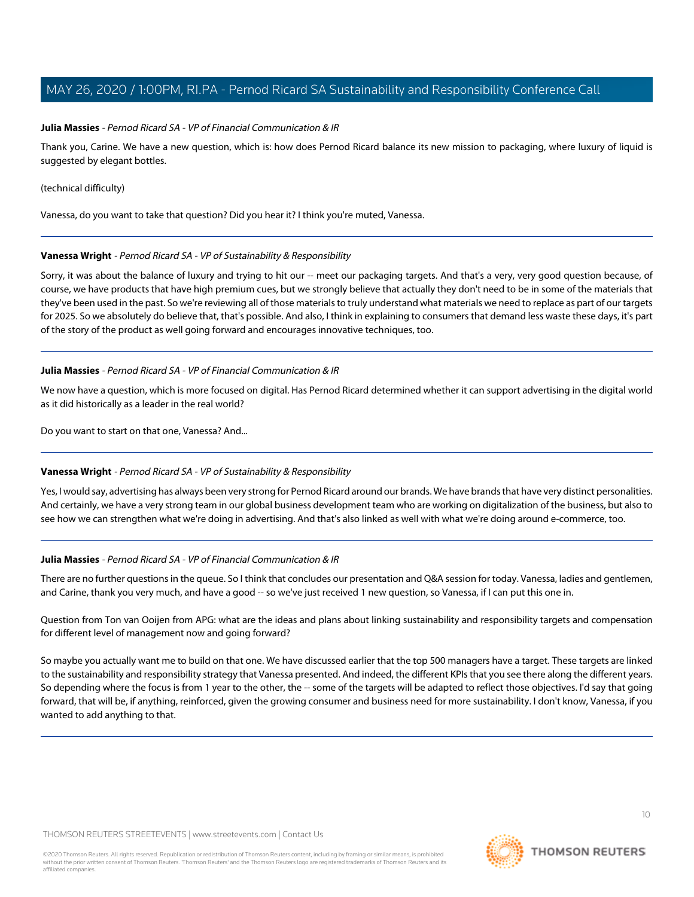#### **Julia Massies** - Pernod Ricard SA - VP of Financial Communication & IR

Thank you, Carine. We have a new question, which is: how does Pernod Ricard balance its new mission to packaging, where luxury of liquid is suggested by elegant bottles.

#### (technical difficulty)

Vanessa, do you want to take that question? Did you hear it? I think you're muted, Vanessa.

## **Vanessa Wright** - Pernod Ricard SA - VP of Sustainability & Responsibility

Sorry, it was about the balance of luxury and trying to hit our -- meet our packaging targets. And that's a very, very good question because, of course, we have products that have high premium cues, but we strongly believe that actually they don't need to be in some of the materials that they've been used in the past. So we're reviewing all of those materials to truly understand what materials we need to replace as part of our targets for 2025. So we absolutely do believe that, that's possible. And also, I think in explaining to consumers that demand less waste these days, it's part of the story of the product as well going forward and encourages innovative techniques, too.

## **Julia Massies** - Pernod Ricard SA - VP of Financial Communication & IR

We now have a question, which is more focused on digital. Has Pernod Ricard determined whether it can support advertising in the digital world as it did historically as a leader in the real world?

Do you want to start on that one, Vanessa? And...

#### **Vanessa Wright** - Pernod Ricard SA - VP of Sustainability & Responsibility

Yes, I would say, advertising has always been very strong for Pernod Ricard around our brands. We have brands that have very distinct personalities. And certainly, we have a very strong team in our global business development team who are working on digitalization of the business, but also to see how we can strengthen what we're doing in advertising. And that's also linked as well with what we're doing around e-commerce, too.

#### **Julia Massies** - Pernod Ricard SA - VP of Financial Communication & IR

There are no further questions in the queue. So I think that concludes our presentation and Q&A session for today. Vanessa, ladies and gentlemen, and Carine, thank you very much, and have a good -- so we've just received 1 new question, so Vanessa, if I can put this one in.

Question from Ton van Ooijen from APG: what are the ideas and plans about linking sustainability and responsibility targets and compensation for different level of management now and going forward?

So maybe you actually want me to build on that one. We have discussed earlier that the top 500 managers have a target. These targets are linked to the sustainability and responsibility strategy that Vanessa presented. And indeed, the different KPIs that you see there along the different years. So depending where the focus is from 1 year to the other, the -- some of the targets will be adapted to reflect those objectives. I'd say that going forward, that will be, if anything, reinforced, given the growing consumer and business need for more sustainability. I don't know, Vanessa, if you wanted to add anything to that.